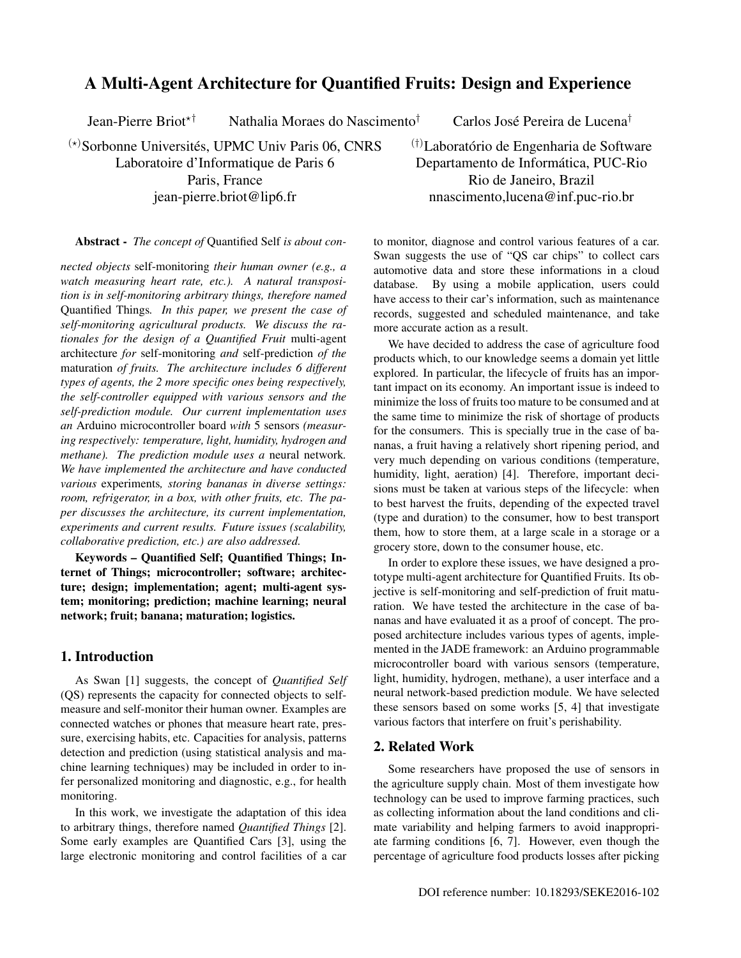# A Multi-Agent Architecture for Quantified Fruits: Design and Experience

Jean-Pierre Briot<sup> $\star$ †</sup> Nathalia Moraes do Nascimento<sup>†</sup>

 $^{(*)}$ Sorbonne Universités, UPMC Univ Paris 06, CNRS Laboratoire d'Informatique de Paris 6 Paris, France jean-pierre.briot@lip6.fr

Carlos José Pereira de Lucena<sup>†</sup>

 $(†)$ Laboratório de Engenharia de Software Departamento de Informática, PUC-Rio Rio de Janeiro, Brazil nnascimento,lucena@inf.puc-rio.br

Abstract - *The concept of* Quantified Self *is about con-*

*nected objects* self-monitoring *their human owner (e.g., a watch measuring heart rate, etc.). A natural transposition is in self-monitoring arbitrary things, therefore named* Quantified Things*. In this paper, we present the case of self-monitoring agricultural products. We discuss the rationales for the design of a Quantified Fruit* multi-agent architecture *for* self-monitoring *and* self-prediction *of the* maturation *of fruits. The architecture includes 6 different types of agents, the 2 more specific ones being respectively, the self-controller equipped with various sensors and the self-prediction module. Our current implementation uses an* Arduino microcontroller board *with* 5 sensors *(measuring respectively: temperature, light, humidity, hydrogen and methane). The prediction module uses a* neural network*. We have implemented the architecture and have conducted various* experiments*, storing bananas in diverse settings: room, refrigerator, in a box, with other fruits, etc. The paper discusses the architecture, its current implementation, experiments and current results. Future issues (scalability, collaborative prediction, etc.) are also addressed.*

Keywords – Quantified Self; Quantified Things; Internet of Things; microcontroller; software; architecture; design; implementation; agent; multi-agent system; monitoring; prediction; machine learning; neural network; fruit; banana; maturation; logistics.

### 1. Introduction

As Swan [1] suggests, the concept of *Quantified Self* (QS) represents the capacity for connected objects to selfmeasure and self-monitor their human owner. Examples are connected watches or phones that measure heart rate, pressure, exercising habits, etc. Capacities for analysis, patterns detection and prediction (using statistical analysis and machine learning techniques) may be included in order to infer personalized monitoring and diagnostic, e.g., for health monitoring.

In this work, we investigate the adaptation of this idea to arbitrary things, therefore named *Quantified Things* [2]. Some early examples are Quantified Cars [3], using the large electronic monitoring and control facilities of a car to monitor, diagnose and control various features of a car. Swan suggests the use of "QS car chips" to collect cars automotive data and store these informations in a cloud database. By using a mobile application, users could have access to their car's information, such as maintenance records, suggested and scheduled maintenance, and take more accurate action as a result.

We have decided to address the case of agriculture food products which, to our knowledge seems a domain yet little explored. In particular, the lifecycle of fruits has an important impact on its economy. An important issue is indeed to minimize the loss of fruits too mature to be consumed and at the same time to minimize the risk of shortage of products for the consumers. This is specially true in the case of bananas, a fruit having a relatively short ripening period, and very much depending on various conditions (temperature, humidity, light, aeration) [4]. Therefore, important decisions must be taken at various steps of the lifecycle: when to best harvest the fruits, depending of the expected travel (type and duration) to the consumer, how to best transport them, how to store them, at a large scale in a storage or a grocery store, down to the consumer house, etc.

In order to explore these issues, we have designed a prototype multi-agent architecture for Quantified Fruits. Its objective is self-monitoring and self-prediction of fruit maturation. We have tested the architecture in the case of bananas and have evaluated it as a proof of concept. The proposed architecture includes various types of agents, implemented in the JADE framework: an Arduino programmable microcontroller board with various sensors (temperature, light, humidity, hydrogen, methane), a user interface and a neural network-based prediction module. We have selected these sensors based on some works [5, 4] that investigate various factors that interfere on fruit's perishability.

# 2. Related Work

Some researchers have proposed the use of sensors in the agriculture supply chain. Most of them investigate how technology can be used to improve farming practices, such as collecting information about the land conditions and climate variability and helping farmers to avoid inappropriate farming conditions [6, 7]. However, even though the percentage of agriculture food products losses after picking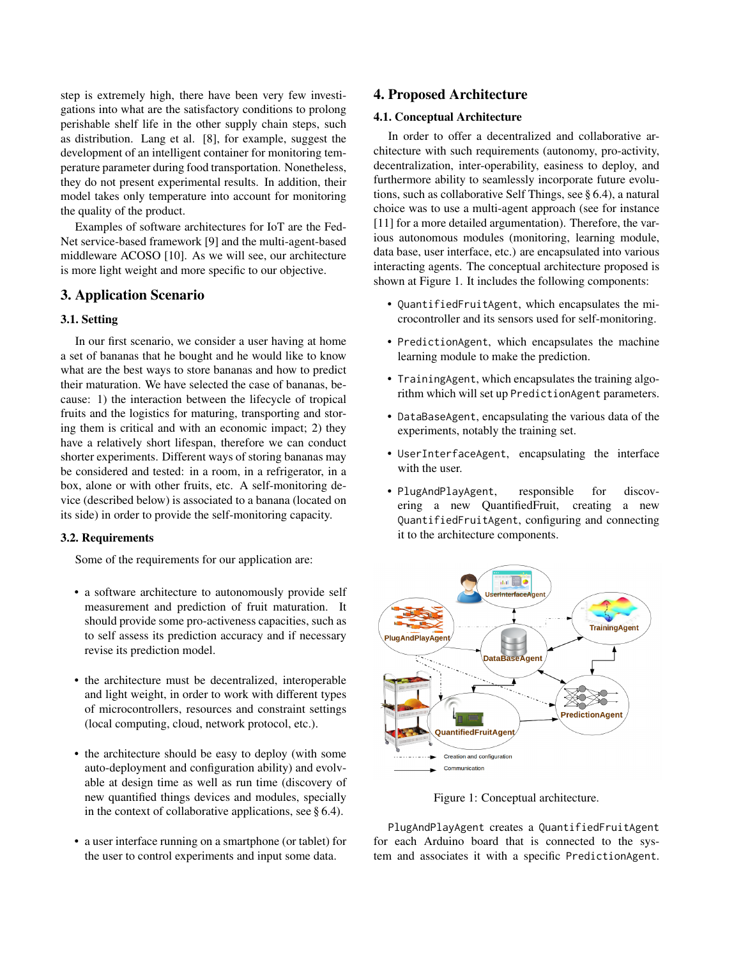step is extremely high, there have been very few investigations into what are the satisfactory conditions to prolong perishable shelf life in the other supply chain steps, such as distribution. Lang et al. [8], for example, suggest the development of an intelligent container for monitoring temperature parameter during food transportation. Nonetheless, they do not present experimental results. In addition, their model takes only temperature into account for monitoring the quality of the product.

Examples of software architectures for IoT are the Fed-Net service-based framework [9] and the multi-agent-based middleware ACOSO [10]. As we will see, our architecture is more light weight and more specific to our objective.

# 3. Application Scenario

### 3.1. Setting

In our first scenario, we consider a user having at home a set of bananas that he bought and he would like to know what are the best ways to store bananas and how to predict their maturation. We have selected the case of bananas, because: 1) the interaction between the lifecycle of tropical fruits and the logistics for maturing, transporting and storing them is critical and with an economic impact; 2) they have a relatively short lifespan, therefore we can conduct shorter experiments. Different ways of storing bananas may be considered and tested: in a room, in a refrigerator, in a box, alone or with other fruits, etc. A self-monitoring device (described below) is associated to a banana (located on its side) in order to provide the self-monitoring capacity.

### 3.2. Requirements

Some of the requirements for our application are:

- a software architecture to autonomously provide self measurement and prediction of fruit maturation. It should provide some pro-activeness capacities, such as to self assess its prediction accuracy and if necessary revise its prediction model.
- the architecture must be decentralized, interoperable and light weight, in order to work with different types of microcontrollers, resources and constraint settings (local computing, cloud, network protocol, etc.).
- the architecture should be easy to deploy (with some auto-deployment and configuration ability) and evolvable at design time as well as run time (discovery of new quantified things devices and modules, specially in the context of collaborative applications, see § 6.4).
- a user interface running on a smartphone (or tablet) for the user to control experiments and input some data.

# 4. Proposed Architecture

#### 4.1. Conceptual Architecture

In order to offer a decentralized and collaborative architecture with such requirements (autonomy, pro-activity, decentralization, inter-operability, easiness to deploy, and furthermore ability to seamlessly incorporate future evolutions, such as collaborative Self Things, see § 6.4), a natural choice was to use a multi-agent approach (see for instance [11] for a more detailed argumentation). Therefore, the various autonomous modules (monitoring, learning module, data base, user interface, etc.) are encapsulated into various interacting agents. The conceptual architecture proposed is shown at Figure 1. It includes the following components:

- QuantifiedFruitAgent, which encapsulates the microcontroller and its sensors used for self-monitoring.
- PredictionAgent, which encapsulates the machine learning module to make the prediction.
- TrainingAgent, which encapsulates the training algorithm which will set up PredictionAgent parameters.
- DataBaseAgent, encapsulating the various data of the experiments, notably the training set.
- UserInterfaceAgent, encapsulating the interface with the user.
- PlugAndPlayAgent, responsible for discovering a new QuantifiedFruit, creating a new QuantifiedFruitAgent, configuring and connecting it to the architecture components.



Figure 1: Conceptual architecture.

PlugAndPlayAgent creates a QuantifiedFruitAgent for each Arduino board that is connected to the system and associates it with a specific PredictionAgent.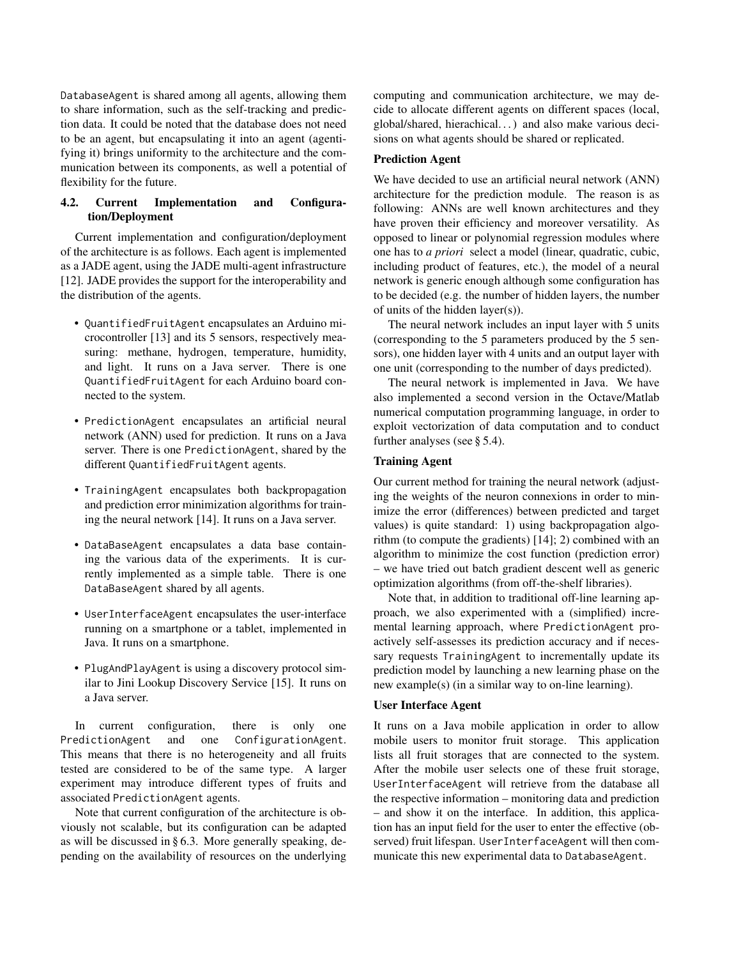DatabaseAgent is shared among all agents, allowing them to share information, such as the self-tracking and prediction data. It could be noted that the database does not need to be an agent, but encapsulating it into an agent (agentifying it) brings uniformity to the architecture and the communication between its components, as well a potential of flexibility for the future.

### 4.2. Current Implementation and Configuration/Deployment

Current implementation and configuration/deployment of the architecture is as follows. Each agent is implemented as a JADE agent, using the JADE multi-agent infrastructure [12]. JADE provides the support for the interoperability and the distribution of the agents.

- QuantifiedFruitAgent encapsulates an Arduino microcontroller [13] and its 5 sensors, respectively measuring: methane, hydrogen, temperature, humidity, and light. It runs on a Java server. There is one QuantifiedFruitAgent for each Arduino board connected to the system.
- PredictionAgent encapsulates an artificial neural network (ANN) used for prediction. It runs on a Java server. There is one PredictionAgent, shared by the different QuantifiedFruitAgent agents.
- TrainingAgent encapsulates both backpropagation and prediction error minimization algorithms for training the neural network [14]. It runs on a Java server.
- DataBaseAgent encapsulates a data base containing the various data of the experiments. It is currently implemented as a simple table. There is one DataBaseAgent shared by all agents.
- UserInterfaceAgent encapsulates the user-interface running on a smartphone or a tablet, implemented in Java. It runs on a smartphone.
- PlugAndPlayAgent is using a discovery protocol similar to Jini Lookup Discovery Service [15]. It runs on a Java server.

In current configuration, there is only one PredictionAgent and one ConfigurationAgent. This means that there is no heterogeneity and all fruits tested are considered to be of the same type. A larger experiment may introduce different types of fruits and associated PredictionAgent agents.

Note that current configuration of the architecture is obviously not scalable, but its configuration can be adapted as will be discussed in § 6.3. More generally speaking, depending on the availability of resources on the underlying computing and communication architecture, we may decide to allocate different agents on different spaces (local, global/shared, hierachical. . . ) and also make various decisions on what agents should be shared or replicated.

# Prediction Agent

We have decided to use an artificial neural network (ANN) architecture for the prediction module. The reason is as following: ANNs are well known architectures and they have proven their efficiency and moreover versatility. As opposed to linear or polynomial regression modules where one has to *a priori* select a model (linear, quadratic, cubic, including product of features, etc.), the model of a neural network is generic enough although some configuration has to be decided (e.g. the number of hidden layers, the number of units of the hidden layer(s)).

The neural network includes an input layer with 5 units (corresponding to the 5 parameters produced by the 5 sensors), one hidden layer with 4 units and an output layer with one unit (corresponding to the number of days predicted).

The neural network is implemented in Java. We have also implemented a second version in the Octave/Matlab numerical computation programming language, in order to exploit vectorization of data computation and to conduct further analyses (see § 5.4).

#### Training Agent

Our current method for training the neural network (adjusting the weights of the neuron connexions in order to minimize the error (differences) between predicted and target values) is quite standard: 1) using backpropagation algorithm (to compute the gradients) [14]; 2) combined with an algorithm to minimize the cost function (prediction error) – we have tried out batch gradient descent well as generic optimization algorithms (from off-the-shelf libraries).

Note that, in addition to traditional off-line learning approach, we also experimented with a (simplified) incremental learning approach, where PredictionAgent proactively self-assesses its prediction accuracy and if necessary requests TrainingAgent to incrementally update its prediction model by launching a new learning phase on the new example(s) (in a similar way to on-line learning).

#### User Interface Agent

It runs on a Java mobile application in order to allow mobile users to monitor fruit storage. This application lists all fruit storages that are connected to the system. After the mobile user selects one of these fruit storage, UserInterfaceAgent will retrieve from the database all the respective information – monitoring data and prediction – and show it on the interface. In addition, this application has an input field for the user to enter the effective (observed) fruit lifespan. UserInterfaceAgent will then communicate this new experimental data to DatabaseAgent.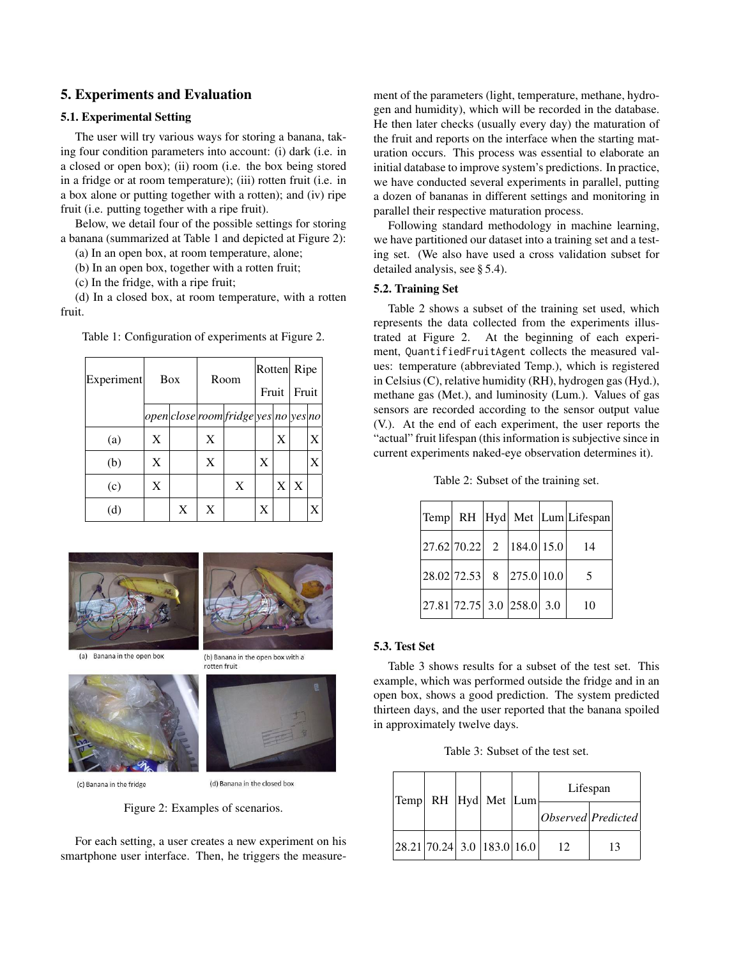# 5. Experiments and Evaluation

#### 5.1. Experimental Setting

The user will try various ways for storing a banana, taking four condition parameters into account: (i) dark (i.e. in a closed or open box); (ii) room (i.e. the box being stored in a fridge or at room temperature); (iii) rotten fruit (i.e. in a box alone or putting together with a rotten); and (iv) ripe fruit (i.e. putting together with a ripe fruit).

Below, we detail four of the possible settings for storing a banana (summarized at Table 1 and depicted at Figure 2):

(a) In an open box, at room temperature, alone;

(b) In an open box, together with a rotten fruit;

(c) In the fridge, with a ripe fruit;

(d) In a closed box, at room temperature, with a rotten fruit.

| Experiment | Box |   | Room |                                          | Rotten |   | Ripe  |   |
|------------|-----|---|------|------------------------------------------|--------|---|-------|---|
|            |     |   |      |                                          | Fruit  |   | Fruit |   |
|            |     |   |      | $ open close room fridge yes no yes no $ |        |   |       |   |
| (a)        | X   |   | X    |                                          |        | X |       | X |
| (b)        | X   |   | X    |                                          | X      |   |       | X |
| (c)        | X   |   |      | X                                        |        | X | X     |   |
| (d)        |     | X | X    |                                          | X      |   |       |   |

Table 1: Configuration of experiments at Figure 2.





(a) Banana in the open box



(c) Banana in the fridge



(b) Banana in the open box with a

rotten fruit

(d) Banana in the closed box

Figure 2: Examples of scenarios.

For each setting, a user creates a new experiment on his smartphone user interface. Then, he triggers the measurement of the parameters (light, temperature, methane, hydrogen and humidity), which will be recorded in the database. He then later checks (usually every day) the maturation of the fruit and reports on the interface when the starting maturation occurs. This process was essential to elaborate an initial database to improve system's predictions. In practice, we have conducted several experiments in parallel, putting a dozen of bananas in different settings and monitoring in parallel their respective maturation process.

Following standard methodology in machine learning, we have partitioned our dataset into a training set and a testing set. (We also have used a cross validation subset for detailed analysis, see § 5.4).

#### 5.2. Training Set

Table 2 shows a subset of the training set used, which represents the data collected from the experiments illustrated at Figure 2. At the beginning of each experiment, QuantifiedFruitAgent collects the measured values: temperature (abbreviated Temp.), which is registered in Celsius (C), relative humidity (RH), hydrogen gas (Hyd.), methane gas (Met.), and luminosity (Lum.). Values of gas sensors are recorded according to the sensor output value (V.). At the end of each experiment, the user reports the "actual" fruit lifespan (this information is subjective since in current experiments naked-eye observation determines it).

Table 2: Subset of the training set.

|                                                                                               |  | Temp RH Hyd Met Lum Lifespan |
|-----------------------------------------------------------------------------------------------|--|------------------------------|
| $\begin{bmatrix} 27.62 & 70.22 & 2 \end{bmatrix}$ 184.0 15.0                                  |  | 14                           |
| $\begin{array}{ c c c c c c c c } \hline 28.02 & 72.53 & 8 & 275.0 & 10.0 \hline \end{array}$ |  | -5                           |
| $\left  27.81 \right  72.75$ 3.0 $\left  258.0 \right $ 3.0                                   |  | 10                           |

# 5.3. Test Set

Table 3 shows results for a subset of the test set. This example, which was performed outside the fridge and in an open box, shows a good prediction. The system predicted thirteen days, and the user reported that the banana spoiled in approximately twelve days.

Table 3: Subset of the test set.

| Temp                                                         |  | RH Hyd Met Lum | Lifespan           |    |  |  |
|--------------------------------------------------------------|--|----------------|--------------------|----|--|--|
|                                                              |  |                | Observed Predicted |    |  |  |
| $\left  28.21 \right  70.24$ 3.0 $\left  183.0 \right  16.0$ |  |                | 12                 | 13 |  |  |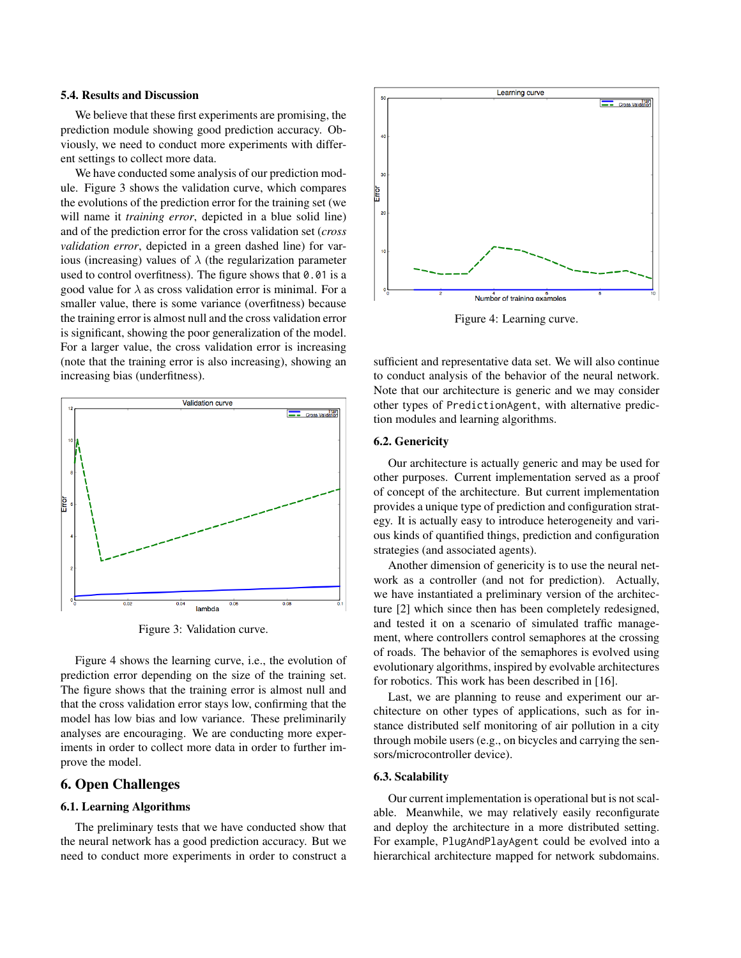#### 5.4. Results and Discussion

We believe that these first experiments are promising, the prediction module showing good prediction accuracy. Obviously, we need to conduct more experiments with different settings to collect more data.

We have conducted some analysis of our prediction module. Figure 3 shows the validation curve, which compares the evolutions of the prediction error for the training set (we will name it *training error*, depicted in a blue solid line) and of the prediction error for the cross validation set (*cross validation error*, depicted in a green dashed line) for various (increasing) values of  $\lambda$  (the regularization parameter used to control overfitness). The figure shows that  $0.01$  is a good value for  $\lambda$  as cross validation error is minimal. For a smaller value, there is some variance (overfitness) because the training error is almost null and the cross validation error is significant, showing the poor generalization of the model. For a larger value, the cross validation error is increasing (note that the training error is also increasing), showing an increasing bias (underfitness).



Figure 3: Validation curve.

Figure 4 shows the learning curve, i.e., the evolution of prediction error depending on the size of the training set. The figure shows that the training error is almost null and that the cross validation error stays low, confirming that the model has low bias and low variance. These preliminarily analyses are encouraging. We are conducting more experiments in order to collect more data in order to further improve the model.

### 6. Open Challenges

### 6.1. Learning Algorithms

The preliminary tests that we have conducted show that the neural network has a good prediction accuracy. But we need to conduct more experiments in order to construct a



Figure 4: Learning curve.

sufficient and representative data set. We will also continue to conduct analysis of the behavior of the neural network. Note that our architecture is generic and we may consider other types of PredictionAgent, with alternative prediction modules and learning algorithms.

#### 6.2. Genericity

Our architecture is actually generic and may be used for other purposes. Current implementation served as a proof of concept of the architecture. But current implementation provides a unique type of prediction and configuration strategy. It is actually easy to introduce heterogeneity and various kinds of quantified things, prediction and configuration strategies (and associated agents).

Another dimension of genericity is to use the neural network as a controller (and not for prediction). Actually, we have instantiated a preliminary version of the architecture [2] which since then has been completely redesigned, and tested it on a scenario of simulated traffic management, where controllers control semaphores at the crossing of roads. The behavior of the semaphores is evolved using evolutionary algorithms, inspired by evolvable architectures for robotics. This work has been described in [16].

Last, we are planning to reuse and experiment our architecture on other types of applications, such as for instance distributed self monitoring of air pollution in a city through mobile users (e.g., on bicycles and carrying the sensors/microcontroller device).

# 6.3. Scalability

Our current implementation is operational but is not scalable. Meanwhile, we may relatively easily reconfigurate and deploy the architecture in a more distributed setting. For example, PlugAndPlayAgent could be evolved into a hierarchical architecture mapped for network subdomains.